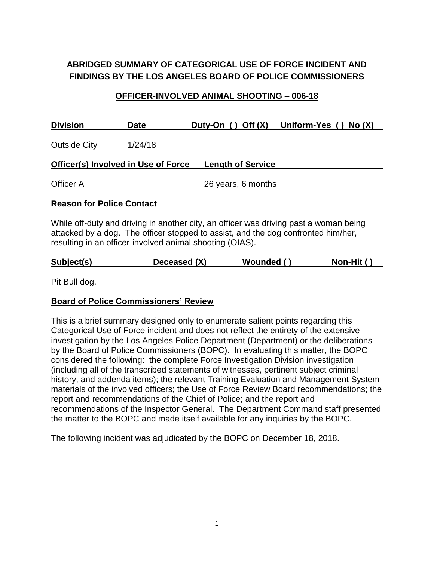# **ABRIDGED SUMMARY OF CATEGORICAL USE OF FORCE INCIDENT AND FINDINGS BY THE LOS ANGELES BOARD OF POLICE COMMISSIONERS**

#### **OFFICER-INVOLVED ANIMAL SHOOTING – 006-18**

| <b>Division</b>                                                                                                                                                                                                                        | <b>Date</b> | Off(X)<br>Duty-On ()     | Uniform-Yes ()<br>No(X) |
|----------------------------------------------------------------------------------------------------------------------------------------------------------------------------------------------------------------------------------------|-------------|--------------------------|-------------------------|
| <b>Outside City</b>                                                                                                                                                                                                                    | 1/24/18     |                          |                         |
| Officer(s) Involved in Use of Force                                                                                                                                                                                                    |             | <b>Length of Service</b> |                         |
| Officer A                                                                                                                                                                                                                              |             | 26 years, 6 months       |                         |
| <b>Reason for Police Contact</b>                                                                                                                                                                                                       |             |                          |                         |
| While off-duty and driving in another city, an officer was driving past a woman being<br>attacked by a dog. The officer stopped to assist, and the dog confronted him/her,<br>resulting in an officer-involved animal shooting (OIAS). |             |                          |                         |

**Subject(s) Deceased (X) Wounded ( ) Non-Hit ( )**

Pit Bull dog.

#### **Board of Police Commissioners' Review**

This is a brief summary designed only to enumerate salient points regarding this Categorical Use of Force incident and does not reflect the entirety of the extensive investigation by the Los Angeles Police Department (Department) or the deliberations by the Board of Police Commissioners (BOPC). In evaluating this matter, the BOPC considered the following: the complete Force Investigation Division investigation (including all of the transcribed statements of witnesses, pertinent subject criminal history, and addenda items); the relevant Training Evaluation and Management System materials of the involved officers; the Use of Force Review Board recommendations; the report and recommendations of the Chief of Police; and the report and recommendations of the Inspector General. The Department Command staff presented the matter to the BOPC and made itself available for any inquiries by the BOPC.

The following incident was adjudicated by the BOPC on December 18, 2018.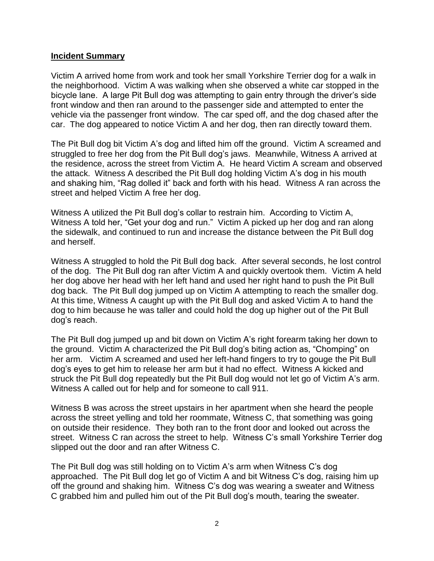#### **Incident Summary**

Victim A arrived home from work and took her small Yorkshire Terrier dog for a walk in the neighborhood. Victim A was walking when she observed a white car stopped in the bicycle lane. A large Pit Bull dog was attempting to gain entry through the driver's side front window and then ran around to the passenger side and attempted to enter the vehicle via the passenger front window. The car sped off, and the dog chased after the car. The dog appeared to notice Victim A and her dog, then ran directly toward them.

The Pit Bull dog bit Victim A's dog and lifted him off the ground. Victim A screamed and struggled to free her dog from the Pit Bull dog's jaws. Meanwhile, Witness A arrived at the residence, across the street from Victim A. He heard Victim A scream and observed the attack. Witness A described the Pit Bull dog holding Victim A's dog in his mouth and shaking him, "Rag dolled it" back and forth with his head. Witness A ran across the street and helped Victim A free her dog.

Witness A utilized the Pit Bull dog's collar to restrain him. According to Victim A, Witness A told her, "Get your dog and run." Victim A picked up her dog and ran along the sidewalk, and continued to run and increase the distance between the Pit Bull dog and herself.

Witness A struggled to hold the Pit Bull dog back. After several seconds, he lost control of the dog. The Pit Bull dog ran after Victim A and quickly overtook them. Victim A held her dog above her head with her left hand and used her right hand to push the Pit Bull dog back. The Pit Bull dog jumped up on Victim A attempting to reach the smaller dog. At this time, Witness A caught up with the Pit Bull dog and asked Victim A to hand the dog to him because he was taller and could hold the dog up higher out of the Pit Bull dog's reach.

The Pit Bull dog jumped up and bit down on Victim A's right forearm taking her down to the ground. Victim A characterized the Pit Bull dog's biting action as, "Chomping" on her arm. Victim A screamed and used her left-hand fingers to try to gouge the Pit Bull dog's eyes to get him to release her arm but it had no effect. Witness A kicked and struck the Pit Bull dog repeatedly but the Pit Bull dog would not let go of Victim A's arm. Witness A called out for help and for someone to call 911.

Witness B was across the street upstairs in her apartment when she heard the people across the street yelling and told her roommate, Witness C, that something was going on outside their residence. They both ran to the front door and looked out across the street. Witness C ran across the street to help. Witness C's small Yorkshire Terrier dog slipped out the door and ran after Witness C.

The Pit Bull dog was still holding on to Victim A's arm when Witness C's dog approached. The Pit Bull dog let go of Victim A and bit Witness C's dog, raising him up off the ground and shaking him. Witness C's dog was wearing a sweater and Witness C grabbed him and pulled him out of the Pit Bull dog's mouth, tearing the sweater.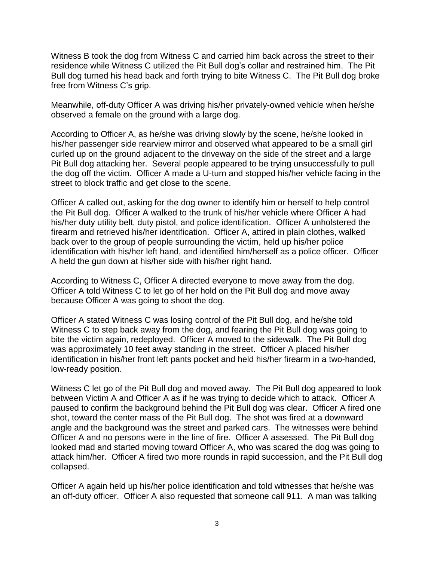Witness B took the dog from Witness C and carried him back across the street to their residence while Witness C utilized the Pit Bull dog's collar and restrained him. The Pit Bull dog turned his head back and forth trying to bite Witness C. The Pit Bull dog broke free from Witness C's grip.

Meanwhile, off-duty Officer A was driving his/her privately-owned vehicle when he/she observed a female on the ground with a large dog.

According to Officer A, as he/she was driving slowly by the scene, he/she looked in his/her passenger side rearview mirror and observed what appeared to be a small girl curled up on the ground adjacent to the driveway on the side of the street and a large Pit Bull dog attacking her. Several people appeared to be trying unsuccessfully to pull the dog off the victim. Officer A made a U-turn and stopped his/her vehicle facing in the street to block traffic and get close to the scene.

Officer A called out, asking for the dog owner to identify him or herself to help control the Pit Bull dog. Officer A walked to the trunk of his/her vehicle where Officer A had his/her duty utility belt, duty pistol, and police identification. Officer A unholstered the firearm and retrieved his/her identification. Officer A, attired in plain clothes, walked back over to the group of people surrounding the victim, held up his/her police identification with his/her left hand, and identified him/herself as a police officer. Officer A held the gun down at his/her side with his/her right hand.

According to Witness C, Officer A directed everyone to move away from the dog. Officer A told Witness C to let go of her hold on the Pit Bull dog and move away because Officer A was going to shoot the dog.

Officer A stated Witness C was losing control of the Pit Bull dog, and he/she told Witness C to step back away from the dog, and fearing the Pit Bull dog was going to bite the victim again, redeployed. Officer A moved to the sidewalk. The Pit Bull dog was approximately 10 feet away standing in the street. Officer A placed his/her identification in his/her front left pants pocket and held his/her firearm in a two-handed, low-ready position.

Witness C let go of the Pit Bull dog and moved away. The Pit Bull dog appeared to look between Victim A and Officer A as if he was trying to decide which to attack. Officer A paused to confirm the background behind the Pit Bull dog was clear. Officer A fired one shot, toward the center mass of the Pit Bull dog. The shot was fired at a downward angle and the background was the street and parked cars. The witnesses were behind Officer A and no persons were in the line of fire. Officer A assessed. The Pit Bull dog looked mad and started moving toward Officer A, who was scared the dog was going to attack him/her. Officer A fired two more rounds in rapid succession, and the Pit Bull dog collapsed.

Officer A again held up his/her police identification and told witnesses that he/she was an off-duty officer. Officer A also requested that someone call 911. A man was talking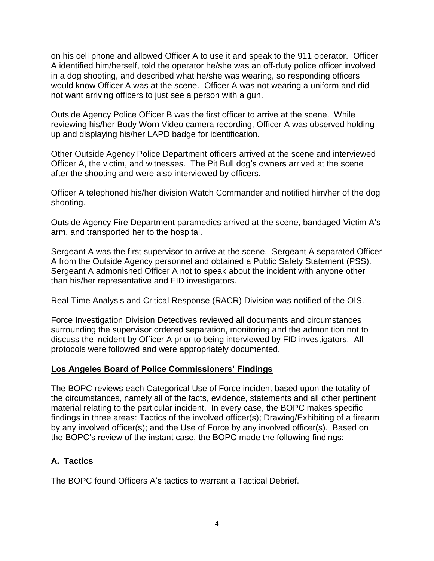on his cell phone and allowed Officer A to use it and speak to the 911 operator. Officer A identified him/herself, told the operator he/she was an off-duty police officer involved in a dog shooting, and described what he/she was wearing, so responding officers would know Officer A was at the scene. Officer A was not wearing a uniform and did not want arriving officers to just see a person with a gun.

Outside Agency Police Officer B was the first officer to arrive at the scene. While reviewing his/her Body Worn Video camera recording, Officer A was observed holding up and displaying his/her LAPD badge for identification.

Other Outside Agency Police Department officers arrived at the scene and interviewed Officer A, the victim, and witnesses. The Pit Bull dog's owners arrived at the scene after the shooting and were also interviewed by officers.

Officer A telephoned his/her division Watch Commander and notified him/her of the dog shooting.

Outside Agency Fire Department paramedics arrived at the scene, bandaged Victim A's arm, and transported her to the hospital.

Sergeant A was the first supervisor to arrive at the scene. Sergeant A separated Officer A from the Outside Agency personnel and obtained a Public Safety Statement (PSS). Sergeant A admonished Officer A not to speak about the incident with anyone other than his/her representative and FID investigators.

Real-Time Analysis and Critical Response (RACR) Division was notified of the OIS.

Force Investigation Division Detectives reviewed all documents and circumstances surrounding the supervisor ordered separation, monitoring and the admonition not to discuss the incident by Officer A prior to being interviewed by FID investigators. All protocols were followed and were appropriately documented.

### **Los Angeles Board of Police Commissioners' Findings**

The BOPC reviews each Categorical Use of Force incident based upon the totality of the circumstances, namely all of the facts, evidence, statements and all other pertinent material relating to the particular incident. In every case, the BOPC makes specific findings in three areas: Tactics of the involved officer(s); Drawing/Exhibiting of a firearm by any involved officer(s); and the Use of Force by any involved officer(s). Based on the BOPC's review of the instant case, the BOPC made the following findings:

# **A. Tactics**

The BOPC found Officers A's tactics to warrant a Tactical Debrief.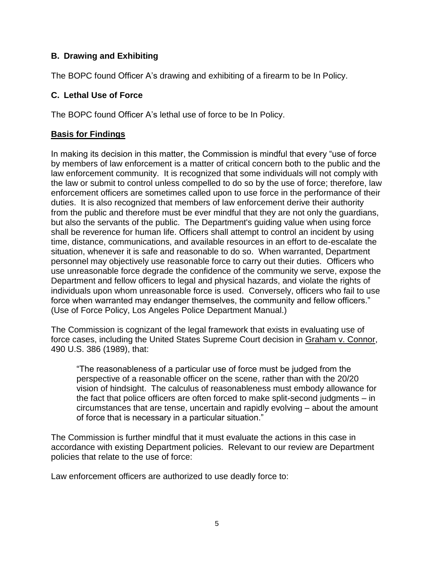## **B. Drawing and Exhibiting**

The BOPC found Officer A's drawing and exhibiting of a firearm to be In Policy.

### **C. Lethal Use of Force**

The BOPC found Officer A's lethal use of force to be In Policy.

### **Basis for Findings**

In making its decision in this matter, the Commission is mindful that every "use of force by members of law enforcement is a matter of critical concern both to the public and the law enforcement community. It is recognized that some individuals will not comply with the law or submit to control unless compelled to do so by the use of force; therefore, law enforcement officers are sometimes called upon to use force in the performance of their duties. It is also recognized that members of law enforcement derive their authority from the public and therefore must be ever mindful that they are not only the guardians, but also the servants of the public. The Department's guiding value when using force shall be reverence for human life. Officers shall attempt to control an incident by using time, distance, communications, and available resources in an effort to de-escalate the situation, whenever it is safe and reasonable to do so. When warranted, Department personnel may objectively use reasonable force to carry out their duties. Officers who use unreasonable force degrade the confidence of the community we serve, expose the Department and fellow officers to legal and physical hazards, and violate the rights of individuals upon whom unreasonable force is used. Conversely, officers who fail to use force when warranted may endanger themselves, the community and fellow officers." (Use of Force Policy, Los Angeles Police Department Manual.)

The Commission is cognizant of the legal framework that exists in evaluating use of force cases, including the United States Supreme Court decision in Graham v. Connor, 490 U.S. 386 (1989), that:

"The reasonableness of a particular use of force must be judged from the perspective of a reasonable officer on the scene, rather than with the 20/20 vision of hindsight. The calculus of reasonableness must embody allowance for the fact that police officers are often forced to make split-second judgments – in circumstances that are tense, uncertain and rapidly evolving – about the amount of force that is necessary in a particular situation."

The Commission is further mindful that it must evaluate the actions in this case in accordance with existing Department policies. Relevant to our review are Department policies that relate to the use of force:

Law enforcement officers are authorized to use deadly force to: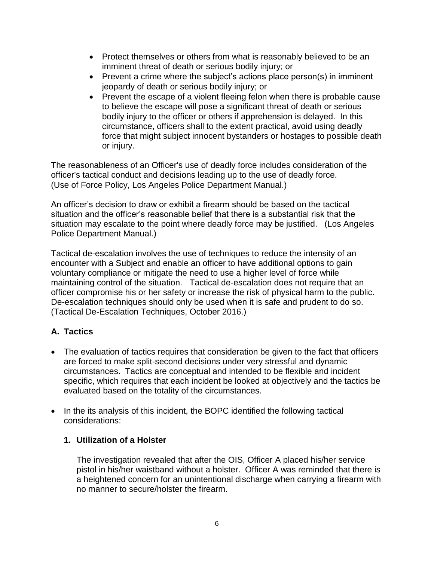- Protect themselves or others from what is reasonably believed to be an imminent threat of death or serious bodily injury; or
- Prevent a crime where the subject's actions place person(s) in imminent jeopardy of death or serious bodily injury; or
- Prevent the escape of a violent fleeing felon when there is probable cause to believe the escape will pose a significant threat of death or serious bodily injury to the officer or others if apprehension is delayed. In this circumstance, officers shall to the extent practical, avoid using deadly force that might subject innocent bystanders or hostages to possible death or injury.

The reasonableness of an Officer's use of deadly force includes consideration of the officer's tactical conduct and decisions leading up to the use of deadly force. (Use of Force Policy, Los Angeles Police Department Manual.)

An officer's decision to draw or exhibit a firearm should be based on the tactical situation and the officer's reasonable belief that there is a substantial risk that the situation may escalate to the point where deadly force may be justified. (Los Angeles Police Department Manual.)

Tactical de-escalation involves the use of techniques to reduce the intensity of an encounter with a Subject and enable an officer to have additional options to gain voluntary compliance or mitigate the need to use a higher level of force while maintaining control of the situation. Tactical de-escalation does not require that an officer compromise his or her safety or increase the risk of physical harm to the public. De-escalation techniques should only be used when it is safe and prudent to do so. (Tactical De-Escalation Techniques, October 2016.)

# **A. Tactics**

- The evaluation of tactics requires that consideration be given to the fact that officers are forced to make split-second decisions under very stressful and dynamic circumstances. Tactics are conceptual and intended to be flexible and incident specific, which requires that each incident be looked at objectively and the tactics be evaluated based on the totality of the circumstances.
- In the its analysis of this incident, the BOPC identified the following tactical considerations:

### **1. Utilization of a Holster**

The investigation revealed that after the OIS, Officer A placed his/her service pistol in his/her waistband without a holster. Officer A was reminded that there is a heightened concern for an unintentional discharge when carrying a firearm with no manner to secure/holster the firearm.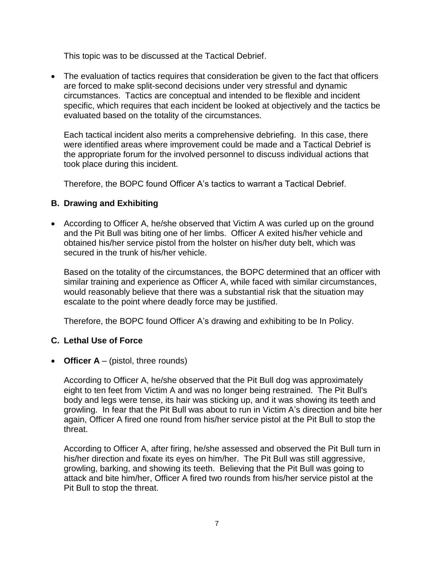This topic was to be discussed at the Tactical Debrief.

• The evaluation of tactics requires that consideration be given to the fact that officers are forced to make split-second decisions under very stressful and dynamic circumstances. Tactics are conceptual and intended to be flexible and incident specific, which requires that each incident be looked at objectively and the tactics be evaluated based on the totality of the circumstances.

Each tactical incident also merits a comprehensive debriefing. In this case, there were identified areas where improvement could be made and a Tactical Debrief is the appropriate forum for the involved personnel to discuss individual actions that took place during this incident.

Therefore, the BOPC found Officer A's tactics to warrant a Tactical Debrief.

## **B. Drawing and Exhibiting**

• According to Officer A, he/she observed that Victim A was curled up on the ground and the Pit Bull was biting one of her limbs. Officer A exited his/her vehicle and obtained his/her service pistol from the holster on his/her duty belt, which was secured in the trunk of his/her vehicle.

Based on the totality of the circumstances, the BOPC determined that an officer with similar training and experience as Officer A, while faced with similar circumstances, would reasonably believe that there was a substantial risk that the situation may escalate to the point where deadly force may be justified.

Therefore, the BOPC found Officer A's drawing and exhibiting to be In Policy.

### **C. Lethal Use of Force**

• **Officer A** – (pistol, three rounds)

According to Officer A, he/she observed that the Pit Bull dog was approximately eight to ten feet from Victim A and was no longer being restrained. The Pit Bull's body and legs were tense, its hair was sticking up, and it was showing its teeth and growling. In fear that the Pit Bull was about to run in Victim A's direction and bite her again, Officer A fired one round from his/her service pistol at the Pit Bull to stop the threat.

According to Officer A, after firing, he/she assessed and observed the Pit Bull turn in his/her direction and fixate its eyes on him/her. The Pit Bull was still aggressive, growling, barking, and showing its teeth. Believing that the Pit Bull was going to attack and bite him/her, Officer A fired two rounds from his/her service pistol at the Pit Bull to stop the threat.